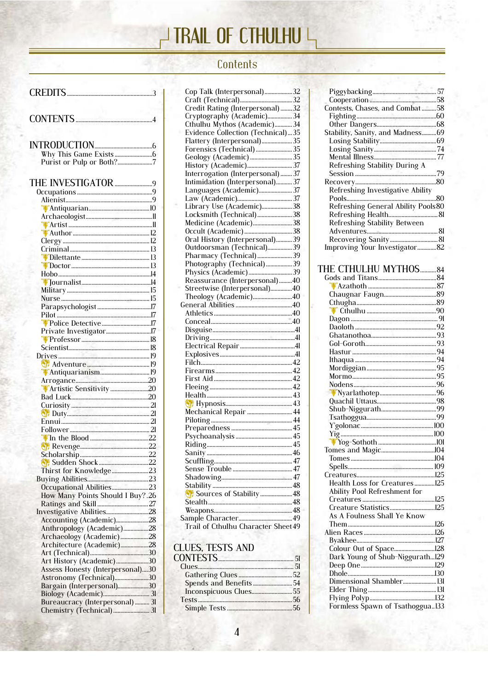# **HIRAIL OF CTHULHUL**

### Contents

| Purist or Pulp or Both?7                                                       |                 |
|--------------------------------------------------------------------------------|-----------------|
|                                                                                |                 |
|                                                                                |                 |
|                                                                                |                 |
|                                                                                |                 |
|                                                                                |                 |
|                                                                                |                 |
|                                                                                |                 |
|                                                                                |                 |
|                                                                                |                 |
| Contract and Communication and the Dilettante minimum is a sensitive of the US |                 |
|                                                                                |                 |
|                                                                                |                 |
|                                                                                |                 |
|                                                                                |                 |
|                                                                                |                 |
|                                                                                |                 |
|                                                                                |                 |
|                                                                                |                 |
|                                                                                |                 |
|                                                                                |                 |
|                                                                                |                 |
|                                                                                |                 |
| Artistic Sensitivity 20                                                        |                 |
|                                                                                |                 |
|                                                                                |                 |
|                                                                                |                 |
|                                                                                |                 |
|                                                                                |                 |
|                                                                                |                 |
|                                                                                |                 |
| Thirst for Knowledge23                                                         |                 |
|                                                                                |                 |
| Occupational Abilities23                                                       |                 |
| How Many Points Should I Buy?.26                                               |                 |
|                                                                                |                 |
| Accounting (Academic)28                                                        |                 |
| Anthropology (Academic)28                                                      |                 |
| Archaeology (Academic)28                                                       |                 |
| Architecture (Academic)28                                                      |                 |
| Art History (Academic)30                                                       |                 |
| Assess Honesty (Interpersonal)30                                               |                 |
| Astronomy (Technical)30                                                        |                 |
| Bargain (Interpersonal)30                                                      |                 |
| Bureaucracy (Interpersonal)  31                                                |                 |
| Chamietry (Technical)                                                          | $\overline{21}$ |

| Cop Talk (Interpersonal)32          |
|-------------------------------------|
|                                     |
| Credit Rating (Interpersonal) 32    |
| Cryptography (Academic)34           |
| Cthulhu Mythos (Academic)34         |
| Evidence Collection (Technical)35   |
| Flattery (Interpersonal)35          |
| Forensics (Technical)35             |
| Geology (Academic)35                |
|                                     |
| Interrogation (Interpersonal) 37    |
| Intimidation (Interpersonal) 37     |
| Languages (Academic) 37             |
|                                     |
| Library Use (Academic)38            |
|                                     |
| Locksmith (Technical)38             |
| Medicine (Academic)38               |
|                                     |
| Oral History (Interpersonal)39      |
| Outdoorsman (Technical)39           |
| Pharmacy (Technical)39              |
| Photography (Technical)39           |
|                                     |
| Reassurance (Interpersonal)40       |
| Streetwise (Interpersonal)40        |
| Theology (Academic)40               |
|                                     |
|                                     |
|                                     |
|                                     |
|                                     |
|                                     |
|                                     |
|                                     |
|                                     |
|                                     |
|                                     |
|                                     |
|                                     |
| Mechanical Repair  44               |
|                                     |
|                                     |
|                                     |
|                                     |
|                                     |
|                                     |
|                                     |
|                                     |
|                                     |
|                                     |
|                                     |
|                                     |
|                                     |
|                                     |
|                                     |
| Trail of Cthulhu Character Sheet 49 |

# **CLUES, TESTS AND**<br>CONTESTS

| Contests, Chases, and Combat 58    |  |
|------------------------------------|--|
|                                    |  |
|                                    |  |
| Stability, Sanity, and Madness 69  |  |
|                                    |  |
|                                    |  |
|                                    |  |
| Refreshing Stability During A      |  |
|                                    |  |
|                                    |  |
|                                    |  |
| Refreshing Investigative Ability   |  |
|                                    |  |
| Refreshing General Ability Pools80 |  |
|                                    |  |
| Refreshing Stability Between       |  |
|                                    |  |
|                                    |  |
|                                    |  |
| Improving Your Investigator82      |  |
|                                    |  |
|                                    |  |
| THE CTHULHU MYTHOS84               |  |
|                                    |  |
|                                    |  |
|                                    |  |
|                                    |  |
|                                    |  |
|                                    |  |
|                                    |  |
|                                    |  |
|                                    |  |
|                                    |  |
|                                    |  |
|                                    |  |
|                                    |  |
|                                    |  |
|                                    |  |
|                                    |  |
|                                    |  |
|                                    |  |
|                                    |  |
|                                    |  |
|                                    |  |
|                                    |  |
|                                    |  |
|                                    |  |
|                                    |  |
|                                    |  |
|                                    |  |
|                                    |  |
|                                    |  |
| Health Loss for Creatures125       |  |
| Ability Pool Refreshment for       |  |
|                                    |  |
|                                    |  |
|                                    |  |
| As A Foulness Shall Ye Know        |  |
|                                    |  |
|                                    |  |
|                                    |  |
|                                    |  |
| Dark Young of Shub-Niggurath129    |  |
|                                    |  |
|                                    |  |
|                                    |  |
| Dimensional Shambler 131           |  |
|                                    |  |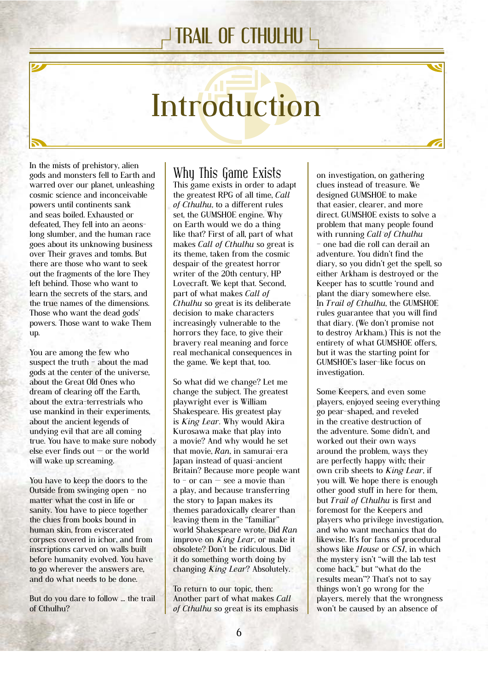# **J TRAIL OF CTHULHU L**

# Introduction

In the mists of prehistory, alien gods and monsters fell to Earth and warred over our planet, unleashing cosmic science and inconceivable powers until continents sank and seas boiled. Exhausted or defeated, They fell into an aeonslong slumber, and the human race goes about its unknowing business over Their graves and tombs. But there are those who want to seek out the fragments of the lore They left behind. Those who want to learn the secrets of the stars, and the true names of the dimensions. Those who want the dead gods' powers. Those want to wake Them up.

You are among the few who suspect the truth – about the mad gods at the center of the universe, about the Great Old Ones who dream of clearing off the Earth, about the extra-terrestrials who use mankind in their experiments, about the ancient legends of undying evil that are all coming true. You have to make sure nobody else ever finds out — or the world will wake up screaming.

You have to keep the doors to the Outside from swinging open – no matter what the cost in life or sanity. You have to piece together the clues from books bound in human skin, from eviscerated corpses covered in ichor, and from inscriptions carved on walls built before humanity evolved. You have to go wherever the answers are, and do what needs to be done.

But do you dare to follow ... the trail of Cthulhu?

### Why This Game Exists

This game exists in order to adapt the greatest RPG of all time, *Call of Cthulhu,* to a different rules set, the GUMSHOE engine. Why on Earth would we do a thing like that? First of all, part of what makes *Call of Cthulhu* so great is its theme, taken from the cosmic despair of the greatest horror writer of the 20th century, HP Lovecraft. We kept that. Second, part of what makes *Call of Cthulhu* so great is its deliberate decision to make characters increasingly vulnerable to the horrors they face, to give their bravery real meaning and force real mechanical consequences in the game. We kept that, too.

So what did we change? Let me change the subject. The greatest playwright ever is William Shakespeare. His greatest play is *King Lear*. Why would Akira Kurosawa make that play into a movie? And why would he set that movie, *Ran,* in samurai-era Japan instead of quasi-ancient Britain? Because more people want to – or can – see a movie than a play, and because transferring the story to Japan makes its themes paradoxically clearer than leaving them in the "familiar" world Shakespeare wrote. Did *Ran* improve on *King Lear*, or make it obsolete? Don't be ridiculous. Did it do something worth doing by changing *King Lear*? Absolutely.

To return to our topic, then: Another part of what makes *Call of Cthulhu* so great is its emphasis on investigation, on gathering clues instead of treasure. We designed GUMSHOE to make that easier, clearer, and more direct. GUMSHOE exists to solve a problem that many people found with running *Call of Cthulhu* – one bad die roll can derail an adventure. You didn't find the diary, so you didn't get the spell, so either Arkham is destroyed or the Keeper has to scuttle 'round and plant the diary somewhere else. In *Trail of Cthulhu*, the GUMSHOE rules guarantee that you will find that diary. (We don't promise not to destroy Arkham.) This is not the entirety of what GUMSHOE offers, but it was the starting point for GUMSHOE's laser-like focus on investigation.

Some Keepers, and even some players, enjoyed seeing everything go pear-shaped, and reveled in the creative destruction of the adventure. Some didn't, and worked out their own ways around the problem, ways they are perfectly happy with; their own crib sheets to *King Lear*, if you will. We hope there is enough other good stuff in here for them, but *Trail of Cthulhu* is first and foremost for the Keepers and players who privilege investigation, and who want mechanics that do likewise. It's for fans of procedural shows like *House* or *CSI*, in which the mystery isn't "will the lab test come back," but "what do the results mean"? That's not to say things won't go wrong for the players, merely that the wrongness won't be caused by an absence of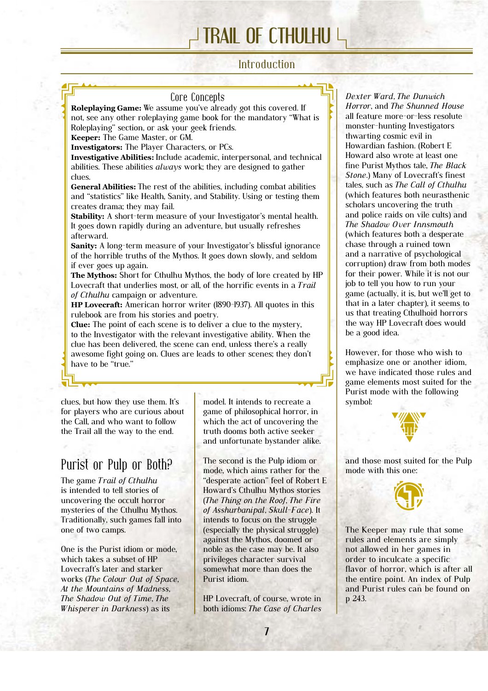# $\Box$  TRAIL OF CTHULHU L

**Introduction** 

#### Core Concepts **Roleplaying Game:** We assume you've already got this covered. If not, see any other roleplaying game book for the mandatory "What is Roleplaying" section, or ask your geek friends. **Keeper:** The Game Master, or GM.

**Investigators:** The Player Characters, or PCs.

**Investigative Abilities:** Include academic, interpersonal, and technical abilities. These abilities *always* work; they are designed to gather clues.

**General Abilities:** The rest of the abilities, including combat abilities and "statistics" like Health, Sanity, and Stability. Using or testing them creates drama; they may fail.

**Stability:** A short-term measure of your Investigator's mental health. It goes down rapidly during an adventure, but usually refreshes afterward.

**Sanity:** A long-term measure of your Investigator's blissful ignorance of the horrible truths of the Mythos. It goes down slowly, and seldom if ever goes up again.

**The Mythos:** Short for Cthulhu Mythos, the body of lore created by HP Lovecraft that underlies most, or all, of the horrific events in a *Trail of Cthulhu* campaign or adventure.

**HP Lovecraft:** American horror writer (1890-1937). All quotes in this rulebook are from his stories and poetry.

**Clue:** The point of each scene is to deliver a clue to the mystery, to the Investigator with the relevant investigative ability. When the clue has been delivered, the scene can end, unless there's a really awesome fight going on. Clues are leads to other scenes; they don't have to be "true."

clues, but how they use them. It's for players who are curious about the Call, and who want to follow the Trail all the way to the end.

### Purist or Pulp or Both?

The game *Trail of Cthulhu* is intended to tell stories of uncovering the occult horror mysteries of the Cthulhu Mythos. Traditionally, such games fall into one of two camps.

One is the Purist idiom or mode, which takes a subset of HP Lovecraft's later and starker works (*The Colour Out of Space*, *At the Mountains of Madness*, *The Shadow Out of Time*, *The Whisperer in Darkness*) as its

model. It intends to recreate a game of philosophical horror, in which the act of uncovering the truth dooms both active seeker and unfortunate bystander alike.

The second is the Pulp idiom or mode, which aims rather for the "desperate action" feel of Robert E Howard's Cthulhu Mythos stories (*The Thing on the Roof*, *The Fire of Asshurbanipal*, *Skull-Face*). It intends to focus on the struggle (especially the physical struggle) against the Mythos, doomed or noble as the case may be. It also privileges character survival somewhat more than does the Purist idiom.

HP Lovecraft, of course, wrote in both idioms: *The Case of Charles*  *Dexter Ward, The Dunwich Horror*, and *The Shunned House* all feature more-or-less resolute monster-hunting Investigators thwarting cosmic evil in Howardian fashion. (Robert E Howard also wrote at least one fine Purist Mythos tale, *The Black Stone*.) Many of Lovecraft's finest tales, such as *The Call of Cthulhu* (which features both neurasthenic scholars uncovering the truth and police raids on vile cults) and *The Shadow Over Innsmouth* (which features both a desperate chase through a ruined town and a narrative of psychological corruption) draw from both modes for their power. While it is not our job to tell you how to run your game (actually, it is, but we'll get to that in a later chapter), it seems to us that treating Cthulhoid horrors the way HP Lovecraft does would be a good idea.

However, for those who wish to emphasize one or another idiom, we have indicated those rules and game elements most suited for the Purist mode with the following symbol:



and those most suited for the Pulp mode with this one:



The Keeper may rule that some rules and elements are simply not allowed in her games in order to inculcate a specific flavor of horror, which is after all the entire point. An index of Pulp and Purist rules can be found on p 243.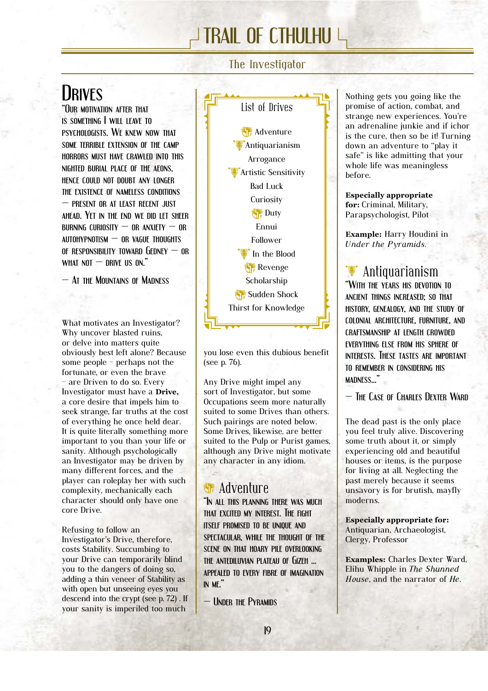# **J TRAIL OF CTHULHU L**

The Investigator

### **DRIVES**

"Our motivation after that is something I will leave to psychologists. We knew now that some terrible extension of the camp horrors must have crawled into this nighted burial place of the aeons, hence could not doubt any longer the existence of nameless conditions — present or at least recent just ahead. Yet in the end we did let sheer burning curiosity — or anxiety — or  $A$ utohypnotism  $-$  or vague thoughts of responsibility toward  $G$ edney  $-$  or WHAT NOT  $-$  drive us on."

— At the Mountains of Madness

What motivates an Investigator? Why uncover blasted ruins, or delve into matters quite obviously best left alone? Because some people – perhaps not the fortunate, or even the brave – are Driven to do so. Every Investigator must have a **Drive,** a core desire that impels him to seek strange, far truths at the cost of everything he once held dear. It is quite literally something more important to you than your life or sanity. Although psychologically an Investigator may be driven by many different forces, and the player can roleplay her with such complexity, mechanically each character should only have one core Drive.

Refusing to follow an Investigator's Drive, therefore, costs Stability. Succumbing to your Drive can temporarily blind you to the dangers of doing so, adding a thin veneer of Stability as with open but unseeing eyes you descend into the crypt (see p. 72) . If your sanity is imperiled too much

### List of Drives

**A** Adventure **Antiquarianism** Arrogance Artistic Sensitivity Bad Luck **Curiosity Duty** Ennui Follower In the Blood Revenge Scholarship Sudden Shock Thirst for Knowledge

you lose even this dubious benefit (see p. 76).

Any Drive might impel any sort of Investigator, but some Occupations seem more naturally suited to some Drives than others. Such pairings are noted below. Some Drives, likewise, are better suited to the Pulp or Purist games, although any Drive might motivate any character in any idiom.

### **G** Adventure

"IN ALL THIS PLANNING THERE WAS MUCH that excited my interest. The fight itself promised to be unique and spectacular, while the thought of the scene on that hoary pile overlooking the antediluvian plateau of Gizeh … appealed to every fibre of imagination in me."

— Under the Pyramids

Nothing gets you going like the promise of action, combat, and strange new experiences. You're an adrenaline junkie and if ichor is the cure, then so be it! Turning down an adventure to "play it safe" is like admitting that your whole life was meaningless before.

**Especially appropriate for:** Criminal, Military, Parapsychologist, Pilot

**Example:** Harry Houdini in *Under the Pyramids.*

**W** Antiquarianism "With the years his devotion to ancient things increased; so that history, genealogy, and the study of colonial architecture, furniture, and craftsmanship at length crowded everything else from his sphere of interests. These tastes are important to remember in considering his madness…"

— The Case of Charles Dexter Ward

The dead past is the only place you feel truly alive. Discovering some truth about it, or simply experiencing old and beautiful houses or items, is the purpose for living at all. Neglecting the past merely because it seems unsavory is for brutish, mayfly moderns.

**Especially appropriate for:**  Antiquarian, Archaeologist, Clergy, Professor

**Examples:** Charles Dexter Ward, Elihu Whipple in *The Shunned House*, and the narrator of *He*.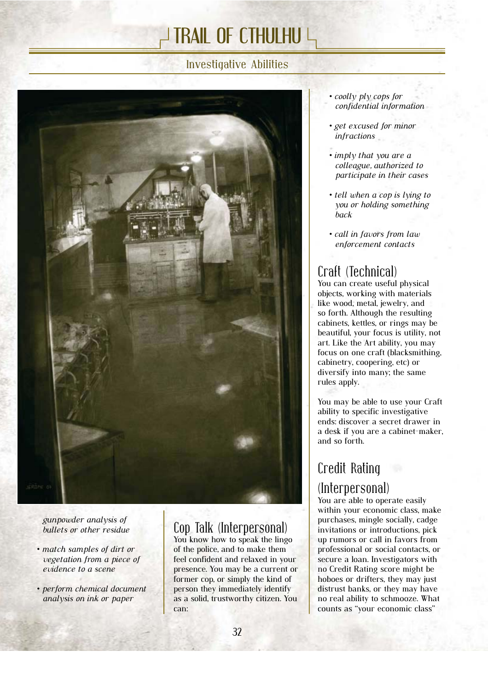# TRAIL OF CTHULHU

### Investigative Abilities



*gunpowder analysis of bullets or other residue*

- *match samples of dirt or vegetation from a piece of evidence to a scene*
- *perform chemical document analysis on ink or paper*

Cop Talk (Interpersonal)

You know how to speak the lingo of the police, and to make them feel confident and relaxed in your presence. You may be a current or former cop, or simply the kind of person they immediately identify as a solid, trustworthy citizen. You can:

- *coolly ply cops for confidential information*
- *get excused for minor infractions*
- *imply that you are a colleague, authorized to participate in their cases*
- *tell when a cop is lying to you or holding something back*
- *call in favors from law enforcement contacts*

### Craft (Technical)

You can create useful physical objects, working with materials like wood, metal, jewelry, and so forth. Although the resulting cabinets, kettles, or rings may be beautiful, your focus is utility, not art. Like the Art ability, you may focus on one craft (blacksmithing, cabinetry, coopering, etc) or diversify into many; the same rules apply.

You may be able to use your Craft ability to specific investigative ends: discover a secret drawer in a desk if you are a cabinet-maker, and so forth.

### Credit Rating (Interpersonal)

You are able to operate easily within your economic class, make purchases, mingle socially, cadge invitations or introductions, pick up rumors or call in favors from professional or social contacts, or secure a loan. Investigators with no Credit Rating score might be hoboes or drifters, they may just distrust banks, or they may have no real ability to schmooze. What counts as "your economic class"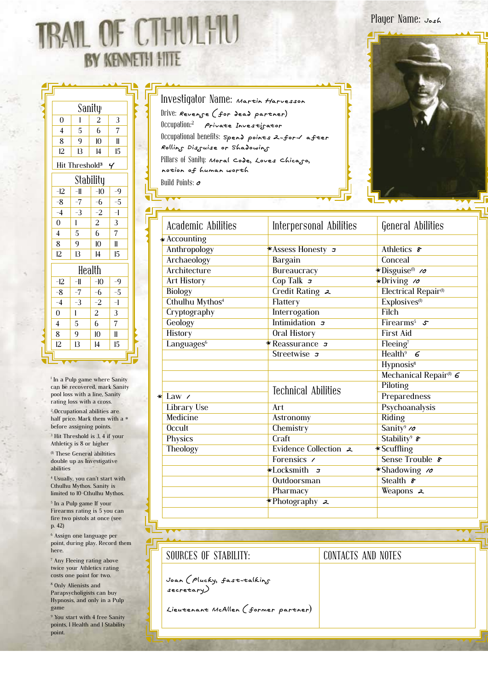#### Player Name: Josh

# TRAIL OF CTHULHU BY KENNETH HITE

#### Sanity 0 1 2 3 4 5 6 7 8 9 10 11  $12 \mid 13 \mid 14 \mid 15$ Hit Threshold<sup>3</sup> 4 **Stabilitu**  $-12$   $-11$   $-10$   $-9$  $-8$   $-7$   $-6$   $-5$  $-4$   $-3$   $-2$   $-1$ 0  $1 \t2 \t3$ 4 5 6 7 8 9 10 11 12 13 14 15 Health  $-12$   $-11$   $-10$   $-9$  $-8$   $-7$   $-6$   $-5$  $-4$   $-3$   $-2$   $-1$  $0 \mid 1 \mid 2 \mid 3$ 4 5 6 7 8 9 10 11 12 13 14 15

1 In a Pulp game where Sanity can be recovered, mark Sanity pool loss with a line, Sanity rating loss with a cross.

<sup>2</sup> Occupational abilities are half price. Mark them with a  $*$ before assigning points.

3 Hit Threshold is 3, 4 if your Athletics is 8 or higher

<sup>(1)</sup> These General abiltities double up as Investigative abilities

<sup>4</sup> Usually, you can't start with Cthulhu Mythos. Sanity is limited to 10-Cthulhu Mythos.

5 In a Pulp game If your Firearms rating is 5 you can fire two pistols at once (see p. 42)

6 Assign one language per point, during play. Record them here.

7 Any Fleeing rating above twice your Athletics rating costs one point for two.

<sup>8</sup> Only Alienists and

Parapsycholigists can buy Hypnosis, and only in a Pulp game

9 You start with 4 free Sanity points, 1 Health and 1 Stability point.

Investigator Name: Martin Harvesson Drive: Revenge (for dead partner) Occupation:<sup>2</sup> Private Investigator Occupational benefits: Spend points 2-for-1 after Rolling Disguise or Shadowing Pillars of Sanity: Moral Code, Loves Chicago, notion of human worth Build Points:  $\sigma$ 



#### SOURCES OF STABILITY: CONTACTS AND NOTES

Joan (Plucky, fast-talking secretary)

Lieutenant McAllen (former partner)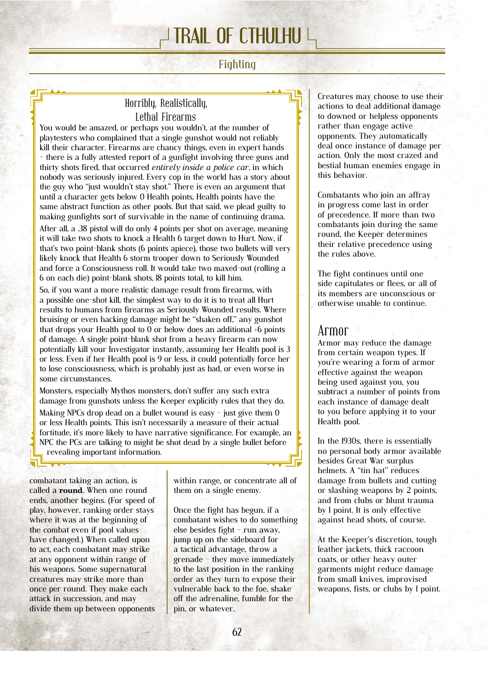# TRAIL OF CTHULHU

#### Fighting

#### Horribly, Realistically, Lethal Firearms

You would be amazed, or perhaps you wouldn't, at the number of playtesters who complained that a single gunshot would not reliably kill their character. Firearms are chancy things, even in expert hands – there is a fully attested report of a gunfight involving three guns and thirty shots fired, that occurred *entirely inside a police car*, in which nobody was seriously injured. Every cop in the world has a story about the guy who "just wouldn't stay shot." There is even an argument that until a character gets below 0 Health points, Health points have the same abstract function as other pools. But that said, we plead guilty to making gunfights sort of survivable in the name of continuing drama.

After all, a .38 pistol will do only 4 points per shot on average, meaning it will take two shots to knock a Health 6 target down to Hurt. Now, if that's two point-blank shots (6 points apiece), those two bullets will very likely knock that Health 6 storm trooper down to Seriously Wounded and force a Consciousness roll. It would take two maxed-out (rolling a 6 on each die) point-blank shots, 18 points total, to kill him.

So, if you want a more realistic damage result from firearms, with a possible one-shot kill, the simplest way to do it is to treat all Hurt results to humans from firearms as Seriously Wounded results. Where bruising or even hacking damage might be "shaken off," any gunshot that drops your Health pool to 0 or below does an additional +6 points of damage. A single point-blank shot from a heavy firearm can now potentially kill your Investigator instantly, assuming her Health pool is 3 or less. Even if her Health pool is 9 or less, it could potentially force her to lose consciousness, which is probably just as bad, or even worse in some circumstances.

Monsters, especially Mythos monsters, don't suffer any such extra damage from gunshots unless the Keeper explicitly rules that they do. Making NPCs drop dead on a bullet wound is easy - just give them 0 or less Health points. This isn't necessarily a measure of their actual fortitude, it's more likely to have narrative significance. For example, an NPC the PCs are talking to might be shot dead by a single bullet before revealing important information.

combatant taking an action, is called a **round**. When one round ends, another begins. (For speed of play, however, ranking order stays where it was at the beginning of the combat even if pool values have changed.) When called upon to act, each combatant may strike at any opponent within range of his weapons. Some supernatural creatures may strike more than once per round. They make each attack in succession, and may divide them up between opponents

within range, or concentrate all of them on a single enemy.

Once the fight has begun, if a combatant wishes to do something else besides fight – run away, jump up on the sideboard for a tactical advantage, throw a grenade – they move immediately to the last position in the ranking order as they turn to expose their vulnerable back to the foe, shake off the adrenaline, fumble for the pin, or whatever.

Creatures may choose to use their actions to deal additional damage to downed or helpless opponents rather than engage active opponents. They automatically deal once instance of damage per action. Only the most crazed and bestial human enemies engage in this behavior.

Combatants who join an affray in progress come last in order of precedence. If more than two combatants join during the same round, the Keeper determines their relative precedence using the rules above.

The fight continues until one side capitulates or flees, or all of its members are unconscious or otherwise unable to continue.

#### Armor

Armor may reduce the damage from certain weapon types. If you're wearing a form of armor effective against the weapon being used against you, you subtract a number of points from each instance of damage dealt to you before applying it to your Health pool.

In the 1930s, there is essentially no personal body armor available besides Great War surplus helmets. A "tin hat" reduces damage from bullets and cutting or slashing weapons by 2 points, and from clubs or blunt trauma by 1 point. It is only effective against head shots, of course.

At the Keeper's discretion, tough leather jackets, thick raccoon coats, or other heavy outer garments might reduce damage from small knives, improvised weapons, fists, or clubs by 1 point.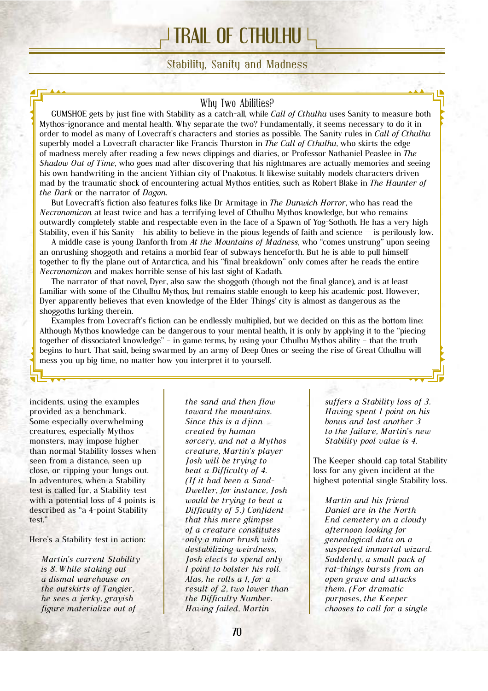# TRAIL OF CTHULHU

### Stability, Sanity and Madness

#### Why Two Abilities?

GUMSHOE gets by just fine with Stability as a catch-all, while *Call of Cthulhu* uses Sanity to measure both Mythos-ignorance and mental health. Why separate the two? Fundamentally, it seems necessary to do it in order to model as many of Lovecraft's characters and stories as possible. The Sanity rules in *Call of Cthulhu* superbly model a Lovecraft character like Francis Thurston in *The Call of Cthulhu*, who skirts the edge of madness merely after reading a few news clippings and diaries, or Professor Nathaniel Peaslee in *The Shadow Out of Time*, who goes mad after discovering that his nightmares are actually memories and seeing his own handwriting in the ancient Yithian city of Pnakotus. It likewise suitably models characters driven mad by the traumatic shock of encountering actual Mythos entities, such as Robert Blake in *The Haunter of the Dark* or the narrator of *Dagon*.

But Lovecraft's fiction also features folks like Dr Armitage in *The Dunwich Horror*, who has read the *Necronomicon* at least twice and has a terrifying level of Cthulhu Mythos knowledge, but who remains outwardly completely stable and respectable even in the face of a Spawn of Yog-Sothoth. He has a very high Stability, even if his Sanity – his ability to believe in the pious legends of faith and science  $-$  is perilously low.

A middle case is young Danforth from *At the Mountains of Madness*, who "comes unstrung" upon seeing an onrushing shoggoth and retains a morbid fear of subways henceforth. But he is able to pull himself together to fly the plane out of Antarctica, and his "final breakdown" only comes after he reads the entire *Necronomicon* and makes horrible sense of his last sight of Kadath.

The narrator of that novel, Dyer, also saw the shoggoth (though not the final glance), and is at least familiar with some of the Cthulhu Mythos, but remains stable enough to keep his academic post. However, Dyer apparently believes that even knowledge of the Elder Things' city is almost as dangerous as the shoggoths lurking therein.

Examples from Lovecraft's fiction can be endlessly multiplied, but we decided on this as the bottom line: Although Mythos knowledge can be dangerous to your mental health, it is only by applying it to the "piecing together of dissociated knowledge" – in game terms, by using your Cthulhu Mythos ability – that the truth begins to hurt. That said, being swarmed by an army of Deep Ones or seeing the rise of Great Cthulhu will mess you up big time, no matter how you interpret it to yourself.

incidents, using the examples provided as a benchmark. Some especially overwhelming creatures, especially Mythos monsters, may impose higher than normal Stability losses when seen from a distance, seen up close, or ripping your lungs out. In adventures, when a Stability test is called for, a Stability test with a potential loss of 4 points is described as "a 4-point Stability test."

Here's a Stability test in action:

*Martin's current Stability is 8. While staking out a dismal warehouse on the outskirts of Tangier, he sees a jerky, grayish figure materialize out of* 

*the sand and then flow toward the mountains. Since this is a djinn created by human sorcery, and not a Mythos creature, Martin's player Josh will be trying to beat a Difficulty of 4. (If it had been a Sand-Dweller, for instance, Josh would be trying to beat a Difficulty of 5.) Confident that this mere glimpse of a creature constitutes only a minor brush with destabilizing weirdness, Josh elects to spend only 1 point to bolster his roll. Alas, he rolls a 1, for a result of 2, two lower than the Difficulty Number. Having failed, Martin* 

*suffers a Stability loss of 3. Having spent 1 point on his bonus and lost another 3 to the failure, Martin's new Stability pool value is 4.*

The Keeper should cap total Stability loss for any given incident at the highest potential single Stability loss.

*Martin and his friend Daniel are in the North End cemetery on a cloudy afternoon looking for genealogical data on a suspected immortal wizard. Suddenly, a small pack of rat-things bursts from an open grave and attacks them. (For dramatic purposes, the Keeper chooses to call for a single*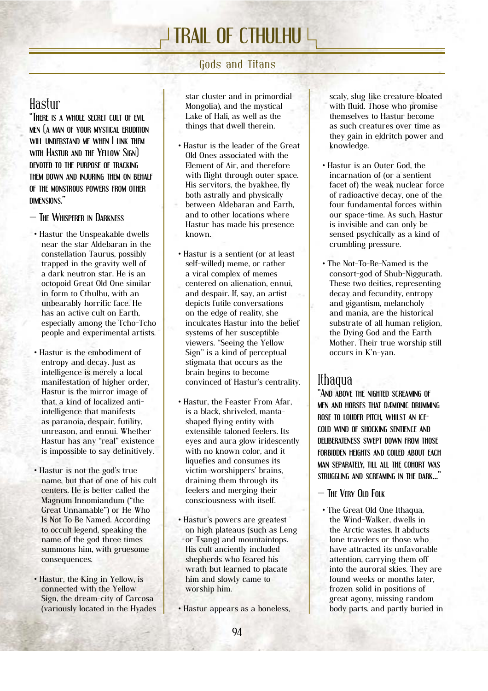# **J TRAIL OF CTHULHU L**

#### Gods and Titans

### Hastur

"There is a whole secret cult of evil men (a man of your mystical erudition will understand me when I link them WITH HASTUR AND THE YELLOW SIGN) devoted to the purpose of tracking them down and injuring them on behalf of the monstrous powers from other dimensions."

#### — The Whisperer in Darkness

- Hastur the Unspeakable dwells near the star Aldebaran in the constellation Taurus, possibly trapped in the gravity well of a dark neutron star. He is an octopoid Great Old One similar in form to Cthulhu, with an unbearably horrific face. He has an active cult on Earth, especially among the Tcho-Tcho people and experimental artists.
- Hastur is the embodiment of entropy and decay. Just as intelligence is merely a local manifestation of higher order, Hastur is the mirror image of that, a kind of localized antiintelligence that manifests as paranoia, despair, futility, unreason, and ennui. Whether Hastur has any "real" existence is impossible to say definitively.
- Hastur is not the god's true name, but that of one of his cult centers. He is better called the Magnum Innomiandum ("the Great Unnamable") or He Who Is Not To Be Named. According to occult legend, speaking the name of the god three times summons him, with gruesome consequences.
- Hastur, the King in Yellow, is connected with the Yellow Sign, the dream-city of Carcosa (variously located in the Hyades

star cluster and in primordial Mongolia), and the mystical Lake of Hali, as well as the things that dwell therein.

• Hastur is the leader of the Great Old Ones associated with the Element of Air, and therefore with flight through outer space. His servitors, the byakhee, fly both astrally and physically between Aldebaran and Earth, and to other locations where Hastur has made his presence

known.

- Hastur is a sentient (or at least self-willed) meme, or rather a viral complex of memes centered on alienation, ennui, and despair. If, say, an artist depicts futile conversations on the edge of reality, she inculcates Hastur into the belief systems of her susceptible viewers. "Seeing the Yellow Sign" is a kind of perceptual stigmata that occurs as the brain begins to become convinced of Hastur's centrality.
- Hastur, the Feaster From Afar. is a black, shriveled, mantashaped flying entity with extensible taloned feelers. Its eyes and aura glow iridescently with no known color, and it liquefies and consumes its victim-worshippers' brains, draining them through its feelers and merging their consciousness with itself.
- Hastur's powers are greatest on high plateaus (such as Leng or Tsang) and mountaintops. His cult anciently included shepherds who feared his wrath but learned to placate him and slowly came to worship him.
- Hastur appears as a boneless,

scaly, slug-like creature bloated with fluid. Those who promise themselves to Hastur become as such creatures over time as they gain in eldritch power and knowledge.

- Hastur is an Outer God, the incarnation of (or a sentient facet of) the weak nuclear force of radioactive decay, one of the four fundamental forces within our space-time. As such, Hastur is invisible and can only be sensed psychically as a kind of crumbling pressure.
- The Not-To-Be-Named is the consort-god of Shub-Niggurath. These two deities, representing decay and fecundity, entropy and gigantism, melancholy and mania, are the historical substrate of all human religion. the Dying God and the Earth Mother. Their true worship still occurs in K'n-yan.

### Ithaqua

"And above the nighted screaming of men and horses that dæmonic drumming rose to louder pitch, whilst an icecold wind of shocking sentience and deliberateness swept down from those forbidden heights and coiled about each man separately, till all the cohort was struggling and screaming in the dark…"

- $-$  The Very Old Folk
	- The Great Old One Ithaqua, the Wind-Walker, dwells in the Arctic wastes. It abducts lone travelers or those who have attracted its unfavorable attention, carrying them off into the auroral skies. They are found weeks or months later, frozen solid in positions of great agony, missing random body parts, and partly buried in